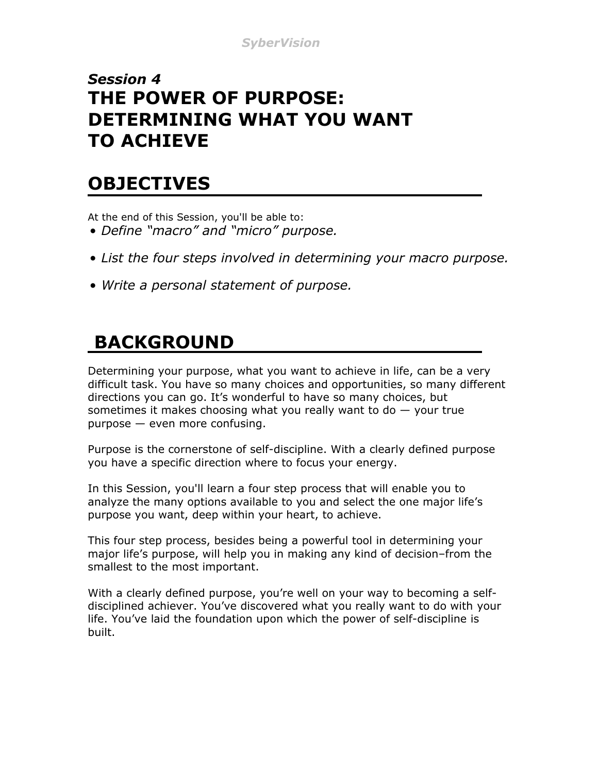#### *Session 4* **THE POWER OF PURPOSE: DETERMINING WHAT YOU WANT TO ACHIEVE**

#### **OBJECTIVES**

At the end of this Session, you'll be able to:

- *Define "macro" and "micro" purpose.*
- *List the four steps involved in determining your macro purpose.*
- *Write a personal statement of purpose.*

# **BACKGROUND**

Determining your purpose, what you want to achieve in life, can be a very difficult task. You have so many choices and opportunities, so many different directions you can go. It's wonderful to have so many choices, but sometimes it makes choosing what you really want to do  $-$  your true purpose — even more confusing.

Purpose is the cornerstone of self-discipline. With a clearly defined purpose you have a specific direction where to focus your energy.

In this Session, you'll learn a four step process that will enable you to analyze the many options available to you and select the one major life's purpose you want, deep within your heart, to achieve.

This four step process, besides being a powerful tool in determining your major life's purpose, will help you in making any kind of decision–from the smallest to the most important.

With a clearly defined purpose, you're well on your way to becoming a selfdisciplined achiever. You've discovered what you really want to do with your life. You've laid the foundation upon which the power of self-discipline is built.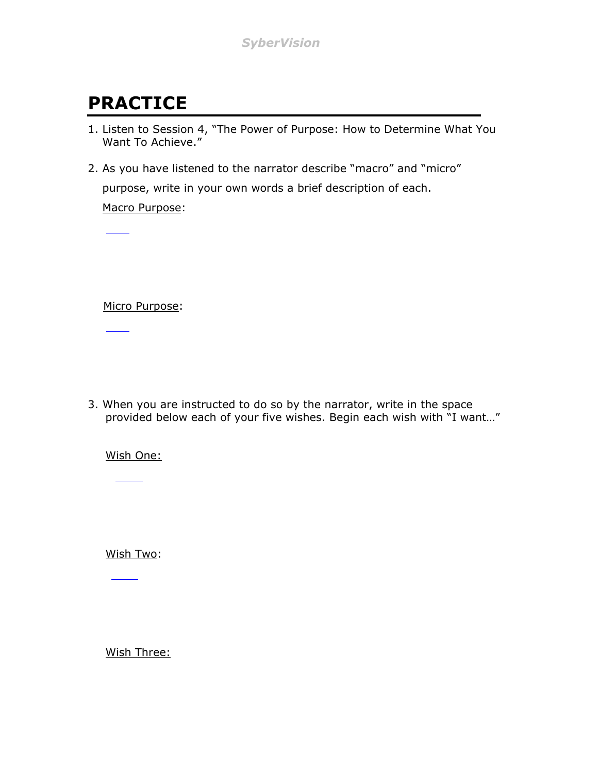# **PRACTICE**

- 1. Listen to Session 4, "The Power of Purpose: How to Determine What You Want To Achieve."
- 2. As you have listened to the narrator describe "macro" and "micro" purpose, write in your own words a brief description of each. Macro Purpose:

Micro Purpose:

3. When you are instructed to do so by the narrator, write in the space provided below each of your five wishes. Begin each wish with "I want…"

Wish One:

Wish Two:

Wish Three: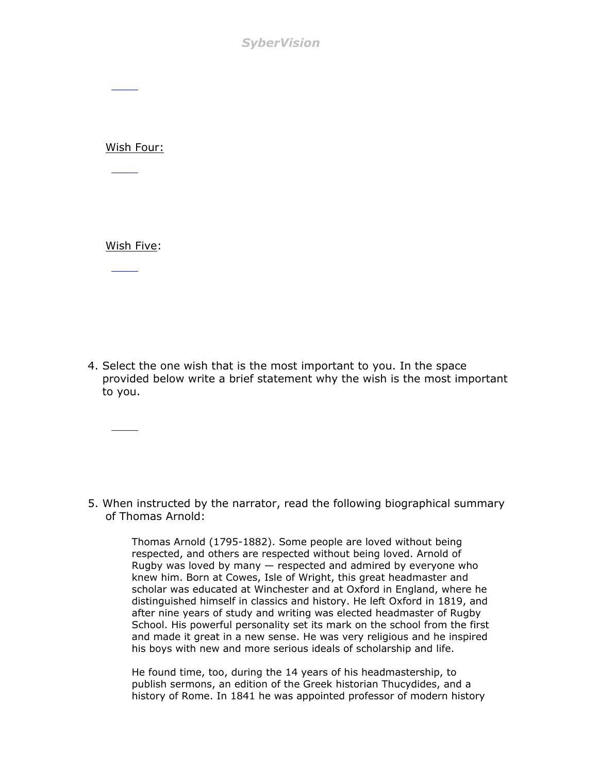*SyberVision*

Wish Four:

Wish Five:

4. Select the one wish that is the most important to you. In the space provided below write a brief statement why the wish is the most important to you.

5. When instructed by the narrator, read the following biographical summary of Thomas Arnold:

> Thomas Arnold (1795-1882). Some people are loved without being respected, and others are respected without being loved. Arnold of Rugby was loved by many — respected and admired by everyone who knew him. Born at Cowes, Isle of Wright, this great headmaster and scholar was educated at Winchester and at Oxford in England, where he distinguished himself in classics and history. He left Oxford in 1819, and after nine years of study and writing was elected headmaster of Rugby School. His powerful personality set its mark on the school from the first and made it great in a new sense. He was very religious and he inspired his boys with new and more serious ideals of scholarship and life.

He found time, too, during the 14 years of his headmastership, to publish sermons, an edition of the Greek historian Thucydides, and a history of Rome. In 1841 he was appointed professor of modern history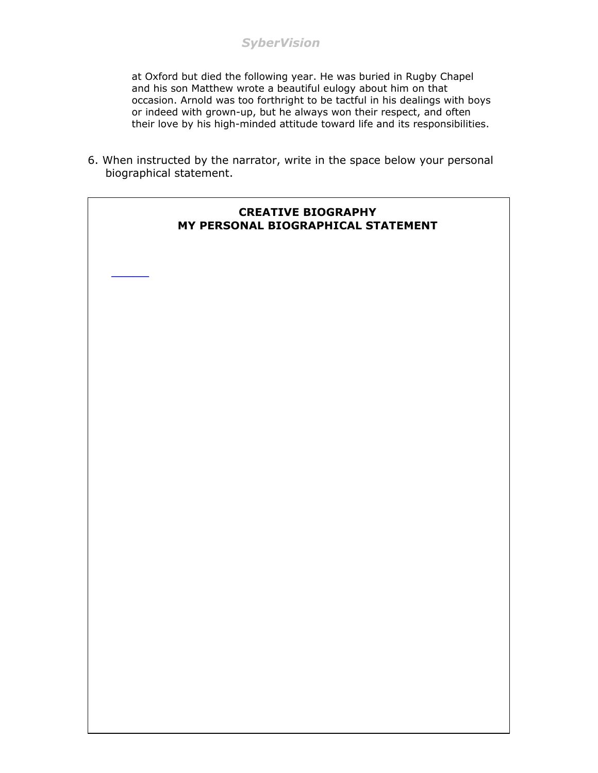at Oxford but died the following year. He was buried in Rugby Chapel and his son Matthew wrote a beautiful eulogy about him on that occasion. Arnold was too forthright to be tactful in his dealings with boys or indeed with grown-up, but he always won their respect, and often their love by his high-minded attitude toward life and its responsibilities.

6. When instructed by the narrator, write in the space below your personal biographical statement.

 $\mathcal{L}_\text{max}$ 

#### **CREATIVE BIOGRAPHY MY PERSONAL BIOGRAPHICAL STATEMENT**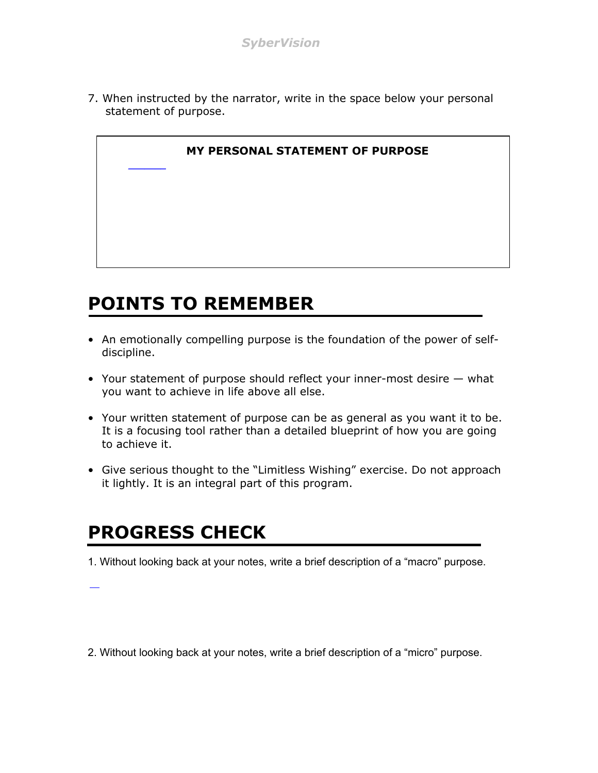7. When instructed by the narrator, write in the space below your personal statement of purpose.



# **POINTS TO REMEMBER**

- An emotionally compelling purpose is the foundation of the power of selfdiscipline.
- Your statement of purpose should reflect your inner-most desire what you want to achieve in life above all else.
- Your written statement of purpose can be as general as you want it to be. It is a focusing tool rather than a detailed blueprint of how you are going to achieve it.
- Give serious thought to the "Limitless Wishing" exercise. Do not approach it lightly. It is an integral part of this program.

### **PROGRESS CHECK**

1. Without looking back at your notes, write a brief description of a "macro" purpose.

2. Without looking back at your notes, write a brief description of a "micro" purpose.